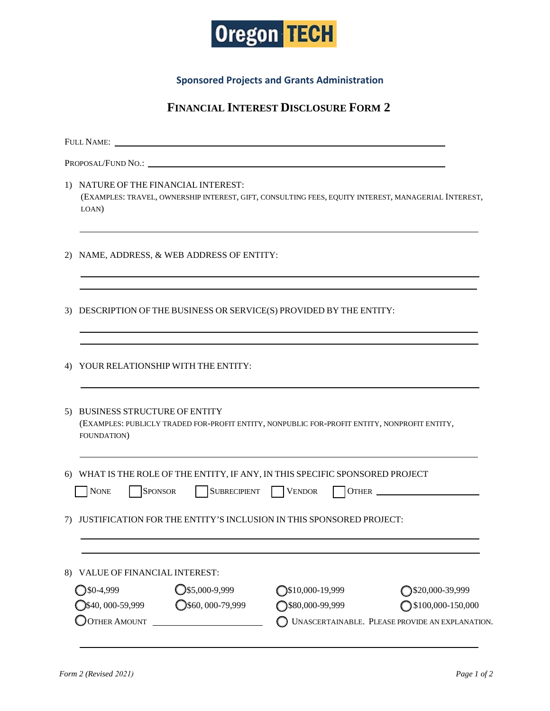

**Sponsored Projects and Grants Administration**

## **FINANCIAL INTEREST DISCLOSURE FORM 2**

|    | <b>FULL NAME:</b>                                                                                                                                    |                            |                                                 |  |
|----|------------------------------------------------------------------------------------------------------------------------------------------------------|----------------------------|-------------------------------------------------|--|
|    |                                                                                                                                                      |                            |                                                 |  |
|    | 1) NATURE OF THE FINANCIAL INTEREST:<br>(EXAMPLES: TRAVEL, OWNERSHIP INTEREST, GIFT, CONSULTING FEES, EQUITY INTEREST, MANAGERIAL INTEREST,<br>LOAN) |                            |                                                 |  |
| 2) | NAME, ADDRESS, & WEB ADDRESS OF ENTITY:                                                                                                              |                            |                                                 |  |
| 3) | DESCRIPTION OF THE BUSINESS OR SERVICE(S) PROVIDED BY THE ENTITY:                                                                                    |                            |                                                 |  |
| 4) | YOUR RELATIONSHIP WITH THE ENTITY:                                                                                                                   |                            |                                                 |  |
| 5) | <b>BUSINESS STRUCTURE OF ENTITY</b><br>(EXAMPLES: PUBLICLY TRADED FOR-PROFIT ENTITY, NONPUBLIC FOR-PROFIT ENTITY, NONPROFIT ENTITY,<br>FOUNDATION)   |                            |                                                 |  |
| 6) | WHAT IS THE ROLE OF THE ENTITY, IF ANY, IN THIS SPECIFIC SPONSORED PROJECT<br><b>NONE</b><br><b>SPONSOR</b>                                          | SUBRECIPIENT VENDOR        | OTHER                                           |  |
| 7) | JUSTIFICATION FOR THE ENTITY'S INCLUSION IN THIS SPONSORED PROJECT:                                                                                  |                            |                                                 |  |
| 8) | VALUE OF FINANCIAL INTEREST:                                                                                                                         |                            |                                                 |  |
|    | $Q$ \$5,000-9,999<br>$30-4,999$                                                                                                                      | $\bigcirc$ \$10,000-19,999 | ◯\$20,000-39,999                                |  |
|    | $Q$ \$60,000-79,999<br>$\bigcirc$ \$40, 000-59,999                                                                                                   | ◯\$80,000-99,999           | $\bigcirc$ \$100,000-150,000                    |  |
|    | <b>OTHER AMOUNT</b><br><u> 1990 - John Stein, Amerikaansk politiker (</u>                                                                            |                            | UNASCERTAINABLE. PLEASE PROVIDE AN EXPLANATION. |  |